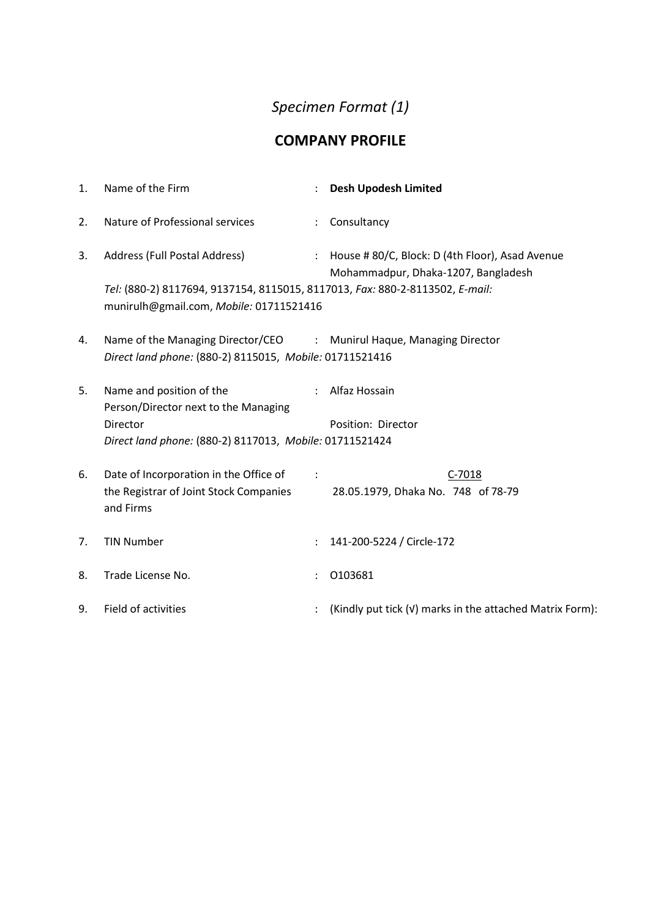## *Specimen Format (1)*

## **COMPANY PROFILE**

| 1. | Name of the Firm                                                                                                                                         |           | <b>Desh Upodesh Limited</b>                                                              |
|----|----------------------------------------------------------------------------------------------------------------------------------------------------------|-----------|------------------------------------------------------------------------------------------|
| 2. | Nature of Professional services                                                                                                                          |           | : Consultancy                                                                            |
| 3. | Address (Full Postal Address)<br>Tel: (880-2) 8117694, 9137154, 8115015, 8117013, Fax: 880-2-8113502, E-mail:<br>munirulh@gmail.com, Mobile: 01711521416 |           | : House # 80/C, Block: D (4th Floor), Asad Avenue<br>Mohammadpur, Dhaka-1207, Bangladesh |
| 4. | Name of the Managing Director/CEO : Munirul Haque, Managing Director<br>Direct land phone: (880-2) 8115015, Mobile: 01711521416                          |           |                                                                                          |
| 5. | Name and position of the<br>Person/Director next to the Managing<br>Director<br>Direct land phone: (880-2) 8117013, Mobile: 01711521424                  |           | : Alfaz Hossain<br>Position: Director                                                    |
| 6. | Date of Incorporation in the Office of<br>the Registrar of Joint Stock Companies<br>and Firms                                                            | $\sim 10$ | $C-7018$<br>28.05.1979, Dhaka No. 748 of 78-79                                           |
| 7. | <b>TIN Number</b>                                                                                                                                        |           | 141-200-5224 / Circle-172                                                                |
| 8. | Trade License No.                                                                                                                                        |           | 0103681                                                                                  |
| 9. | Field of activities                                                                                                                                      |           | (Kindly put tick (v) marks in the attached Matrix Form):                                 |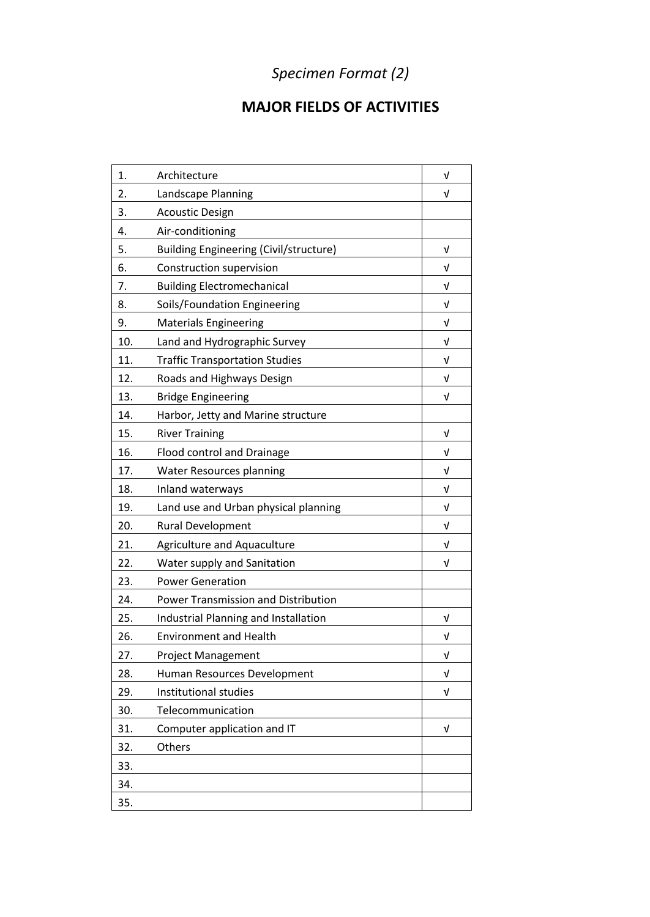## *Specimen Format (2)*

## **MAJOR FIELDS OF ACTIVITIES**

| 1.  | Architecture                                  | V |
|-----|-----------------------------------------------|---|
| 2.  | Landscape Planning                            | ν |
| 3.  | <b>Acoustic Design</b>                        |   |
| 4.  | Air-conditioning                              |   |
| 5.  | <b>Building Engineering (Civil/structure)</b> | V |
| 6.  | Construction supervision                      | V |
| 7.  | <b>Building Electromechanical</b>             | V |
| 8.  | Soils/Foundation Engineering                  | ν |
| 9.  | <b>Materials Engineering</b>                  | v |
| 10. | Land and Hydrographic Survey                  | V |
| 11. | <b>Traffic Transportation Studies</b>         | V |
| 12. | Roads and Highways Design                     | V |
| 13. | <b>Bridge Engineering</b>                     | V |
| 14. | Harbor, Jetty and Marine structure            |   |
| 15. | <b>River Training</b>                         | V |
| 16. | Flood control and Drainage                    | ν |
| 17. | <b>Water Resources planning</b>               | V |
| 18. | Inland waterways                              | V |
| 19. | Land use and Urban physical planning          | v |
| 20. | Rural Development                             | v |
| 21. | <b>Agriculture and Aquaculture</b>            | V |
| 22. | Water supply and Sanitation                   | V |
| 23. | <b>Power Generation</b>                       |   |
| 24. | Power Transmission and Distribution           |   |
| 25. | Industrial Planning and Installation          | ν |
| 26. | <b>Environment and Health</b>                 | V |
| 27. | <b>Project Management</b>                     | V |
| 28. | Human Resources Development                   | V |
| 29. | Institutional studies                         | V |
| 30. | Telecommunication                             |   |
| 31. | Computer application and IT                   | V |
| 32. | Others                                        |   |
| 33. |                                               |   |
| 34. |                                               |   |
| 35. |                                               |   |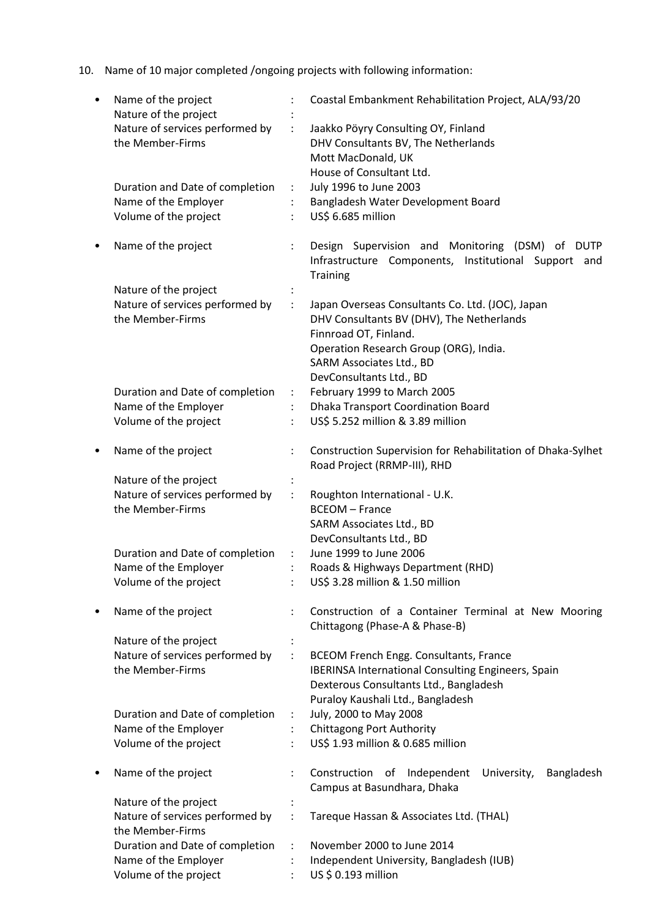10. Name of 10 major completed /ongoing projects with following information:

| ٠ | Name of the project<br>Nature of the project |                      | Coastal Embankment Rehabilitation Project, ALA/93/20                                                                       |
|---|----------------------------------------------|----------------------|----------------------------------------------------------------------------------------------------------------------------|
|   | Nature of services performed by              |                      | Jaakko Pöyry Consulting OY, Finland                                                                                        |
|   | the Member-Firms                             |                      | DHV Consultants BV, The Netherlands                                                                                        |
|   |                                              |                      | Mott MacDonald, UK                                                                                                         |
|   |                                              |                      | House of Consultant Ltd.                                                                                                   |
|   | Duration and Date of completion              | ÷                    | July 1996 to June 2003                                                                                                     |
|   | Name of the Employer                         |                      | Bangladesh Water Development Board                                                                                         |
|   | Volume of the project                        |                      | US\$ 6.685 million                                                                                                         |
| ٠ | Name of the project                          |                      | Design Supervision and Monitoring (DSM) of DUTP<br>Infrastructure Components, Institutional Support and<br><b>Training</b> |
|   | Nature of the project                        |                      |                                                                                                                            |
|   | Nature of services performed by              | $\ddot{\phantom{a}}$ | Japan Overseas Consultants Co. Ltd. (JOC), Japan                                                                           |
|   | the Member-Firms                             |                      | DHV Consultants BV (DHV), The Netherlands                                                                                  |
|   |                                              |                      | Finnroad OT, Finland.                                                                                                      |
|   |                                              |                      | Operation Research Group (ORG), India.                                                                                     |
|   |                                              |                      | SARM Associates Ltd., BD                                                                                                   |
|   |                                              |                      | DevConsultants Ltd., BD                                                                                                    |
|   | Duration and Date of completion              | ÷                    | February 1999 to March 2005                                                                                                |
|   | Name of the Employer                         |                      | Dhaka Transport Coordination Board                                                                                         |
|   | Volume of the project                        |                      | US\$ 5.252 million & 3.89 million                                                                                          |
| ٠ | Name of the project                          |                      | Construction Supervision for Rehabilitation of Dhaka-Sylhet                                                                |
|   |                                              |                      | Road Project (RRMP-III), RHD                                                                                               |
|   | Nature of the project                        |                      |                                                                                                                            |
|   | Nature of services performed by              | $\ddot{\cdot}$       | Roughton International - U.K.                                                                                              |
|   | the Member-Firms                             |                      | <b>BCEOM - France</b>                                                                                                      |
|   |                                              |                      | SARM Associates Ltd., BD                                                                                                   |
|   |                                              |                      | DevConsultants Ltd., BD                                                                                                    |
|   | Duration and Date of completion              | ÷                    | June 1999 to June 2006                                                                                                     |
|   | Name of the Employer                         |                      | Roads & Highways Department (RHD)                                                                                          |
|   | Volume of the project                        |                      | US\$ 3.28 million & 1.50 million                                                                                           |
|   | Name of the project                          |                      | Construction of a Container Terminal at New Mooring<br>Chittagong (Phase-A & Phase-B)                                      |
|   | Nature of the project                        |                      |                                                                                                                            |
|   | Nature of services performed by              | ÷                    | <b>BCEOM French Engg. Consultants, France</b>                                                                              |
|   | the Member-Firms                             |                      | <b>IBERINSA International Consulting Engineers, Spain</b>                                                                  |
|   |                                              |                      | Dexterous Consultants Ltd., Bangladesh                                                                                     |
|   |                                              |                      | Puraloy Kaushali Ltd., Bangladesh                                                                                          |
|   | Duration and Date of completion              | ÷                    | July, 2000 to May 2008                                                                                                     |
|   | Name of the Employer                         |                      | <b>Chittagong Port Authority</b>                                                                                           |
|   | Volume of the project                        |                      | US\$ 1.93 million & 0.685 million                                                                                          |
| ٠ | Name of the project                          |                      | Construction<br>Independent<br>University,<br>of<br>Bangladesh<br>Campus at Basundhara, Dhaka                              |
|   | Nature of the project                        |                      |                                                                                                                            |
|   | Nature of services performed by              |                      | Tareque Hassan & Associates Ltd. (THAL)                                                                                    |
|   | the Member-Firms                             |                      |                                                                                                                            |
|   | Duration and Date of completion              |                      | November 2000 to June 2014                                                                                                 |
|   | Name of the Employer                         |                      | Independent University, Bangladesh (IUB)                                                                                   |
|   | Volume of the project                        |                      | US \$ 0.193 million                                                                                                        |